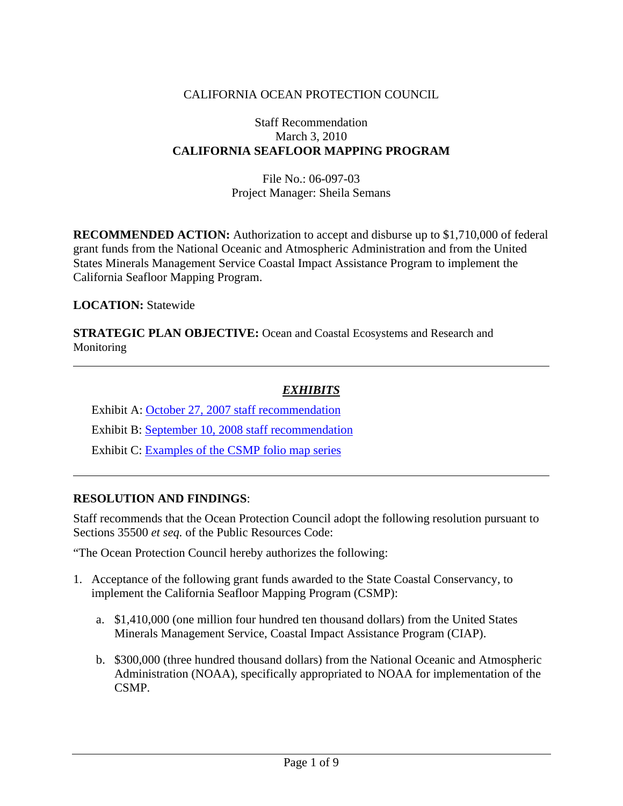# CALIFORNIA OCEAN PROTECTION COUNCIL

#### Staff Recommendation March 3, 2010 **CALIFORNIA SEAFLOOR MAPPING PROGRAM**

File No.: 06-097-03 Project Manager: Sheila Semans

**RECOMMENDED ACTION:** Authorization to accept and disburse up to \$1,710,000 of federal grant funds from the National Oceanic and Atmospheric Administration and from the United States Minerals Management Service Coastal Impact Assistance Program to implement the California Seafloor Mapping Program.

#### **LOCATION:** Statewide

 $\overline{a}$ 

 $\overline{a}$ 

**STRATEGIC PLAN OBJECTIVE:** Ocean and Coastal Ecosystems and Research and Monitoring

### *EXHIBITS*

 Exhibit A: [October 27, 2007 staff recommendation](http://www.opc.ca.gov/webmaster/ftp/pdf/agenda_items/20071025/07_Seafloor%20mapping/1007COPC07_seafloor%20mapping.pdf)  Exhibit B: [September 10, 2008 staff recommendation](http://www.opc.ca.gov/webmaster/ftp/pdf/agenda_items/20080910/08_Seafloor%20mapping/0809COPC_08_seafloor%20mapping.pdf)

Exhibit C: Examples of the CSMP folio map series

### **RESOLUTION AND FINDINGS**:

Staff recommends that the Ocean Protection Council adopt the following resolution pursuant to Sections 35500 *et seq.* of the Public Resources Code:

"The Ocean Protection Council hereby authorizes the following:

- 1. Acceptance of the following grant funds awarded to the State Coastal Conservancy, to implement the California Seafloor Mapping Program (CSMP):
	- a. \$1,410,000 (one million four hundred ten thousand dollars) from the United States Minerals Management Service, Coastal Impact Assistance Program (CIAP).
	- b. \$300,000 (three hundred thousand dollars) from the National Oceanic and Atmospheric Administration (NOAA), specifically appropriated to NOAA for implementation of the CSMP.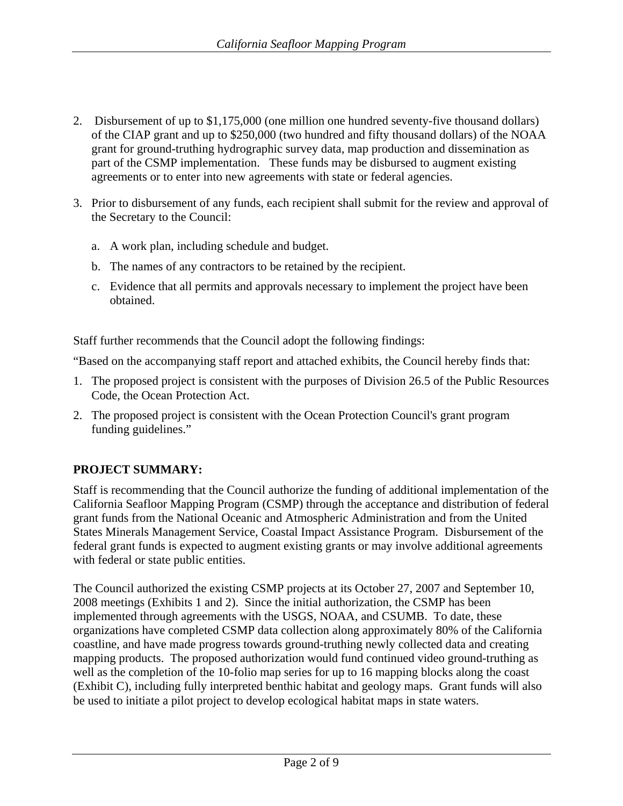- 2. Disbursement of up to \$1,175,000 (one million one hundred seventy-five thousand dollars) of the CIAP grant and up to \$250,000 (two hundred and fifty thousand dollars) of the NOAA grant for ground-truthing hydrographic survey data, map production and dissemination as part of the CSMP implementation. These funds may be disbursed to augment existing agreements or to enter into new agreements with state or federal agencies.
- 3. Prior to disbursement of any funds, each recipient shall submit for the review and approval of the Secretary to the Council:
	- a. A work plan, including schedule and budget.
	- b. The names of any contractors to be retained by the recipient.
	- c. Evidence that all permits and approvals necessary to implement the project have been obtained.

Staff further recommends that the Council adopt the following findings:

"Based on the accompanying staff report and attached exhibits, the Council hereby finds that:

- 1. The proposed project is consistent with the purposes of Division 26.5 of the Public Resources Code, the Ocean Protection Act.
- 2. The proposed project is consistent with the Ocean Protection Council's grant program funding guidelines."

# **PROJECT SUMMARY:**

Staff is recommending that the Council authorize the funding of additional implementation of the California Seafloor Mapping Program (CSMP) through the acceptance and distribution of federal grant funds from the National Oceanic and Atmospheric Administration and from the United States Minerals Management Service, Coastal Impact Assistance Program. Disbursement of the federal grant funds is expected to augment existing grants or may involve additional agreements with federal or state public entities.

The Council authorized the existing CSMP projects at its October 27, 2007 and September 10, 2008 meetings (Exhibits 1 and 2). Since the initial authorization, the CSMP has been implemented through agreements with the USGS, NOAA, and CSUMB. To date, these organizations have completed CSMP data collection along approximately 80% of the California coastline, and have made progress towards ground-truthing newly collected data and creating mapping products. The proposed authorization would fund continued video ground-truthing as well as the completion of the 10-folio map series for up to 16 mapping blocks along the coast (Exhibit C), including fully interpreted benthic habitat and geology maps. Grant funds will also be used to initiate a pilot project to develop ecological habitat maps in state waters.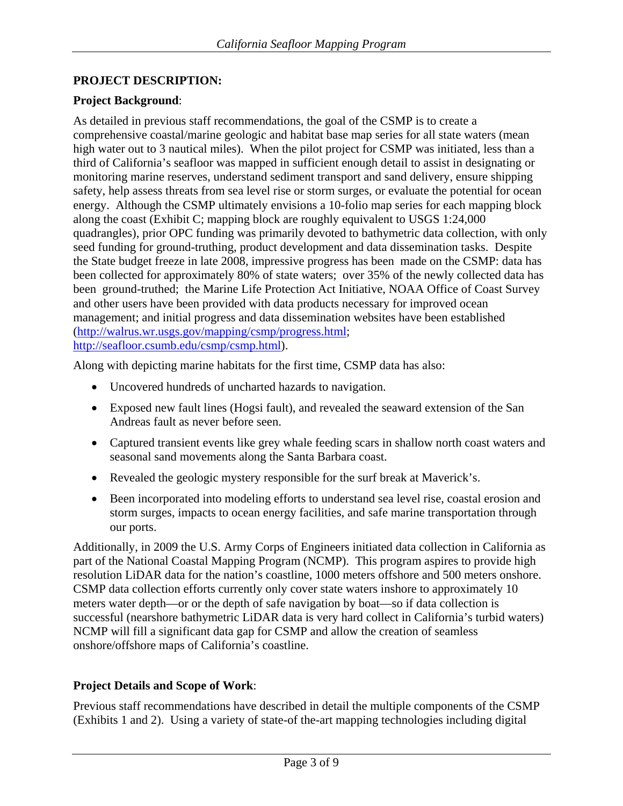### **PROJECT DESCRIPTION:**

### **Project Background**:

As detailed in previous staff recommendations, the goal of the CSMP is to create a comprehensive coastal/marine geologic and habitat base map series for all state waters (mean high water out to 3 nautical miles). When the pilot project for CSMP was initiated, less than a third of California's seafloor was mapped in sufficient enough detail to assist in designating or monitoring marine reserves, understand sediment transport and sand delivery, ensure shipping safety, help assess threats from sea level rise or storm surges, or evaluate the potential for ocean energy. Although the CSMP ultimately envisions a 10-folio map series for each mapping block along the coast (Exhibit C; mapping block are roughly equivalent to USGS 1:24,000 quadrangles), prior OPC funding was primarily devoted to bathymetric data collection, with only seed funding for ground-truthing, product development and data dissemination tasks. Despite the State budget freeze in late 2008, impressive progress has been made on the CSMP: data has been collected for approximately 80% of state waters; over 35% of the newly collected data has been ground-truthed; the Marine Life Protection Act Initiative, NOAA Office of Coast Survey and other users have been provided with data products necessary for improved ocean management; and initial progress and data dissemination websites have been established ([http://walrus.wr.usgs.gov/mapping/csmp/progress.html;](http://walrus.wr.usgs.gov/mapping/csmp/progress.html) <http://seafloor.csumb.edu/csmp/csmp.html>).

Along with depicting marine habitats for the first time, CSMP data has also:

- Uncovered hundreds of uncharted hazards to navigation.
- Exposed new fault lines (Hogsi fault), and revealed the seaward extension of the San Andreas fault as never before seen.
- Captured transient events like grey whale feeding scars in shallow north coast waters and seasonal sand movements along the Santa Barbara coast.
- Revealed the geologic mystery responsible for the surf break at Maverick's.
- Been incorporated into modeling efforts to understand sea level rise, coastal erosion and storm surges, impacts to ocean energy facilities, and safe marine transportation through our ports.

Additionally, in 2009 the U.S. Army Corps of Engineers initiated data collection in California as part of the National Coastal Mapping Program (NCMP). This program aspires to provide high resolution LiDAR data for the nation's coastline, 1000 meters offshore and 500 meters onshore. CSMP data collection efforts currently only cover state waters inshore to approximately 10 meters water depth—or or the depth of safe navigation by boat—so if data collection is successful (nearshore bathymetric LiDAR data is very hard collect in California's turbid waters) NCMP will fill a significant data gap for CSMP and allow the creation of seamless onshore/offshore maps of California's coastline.

### **Project Details and Scope of Work**:

Previous staff recommendations have described in detail the multiple components of the CSMP (Exhibits 1 and 2). Using a variety of state-of the-art mapping technologies including digital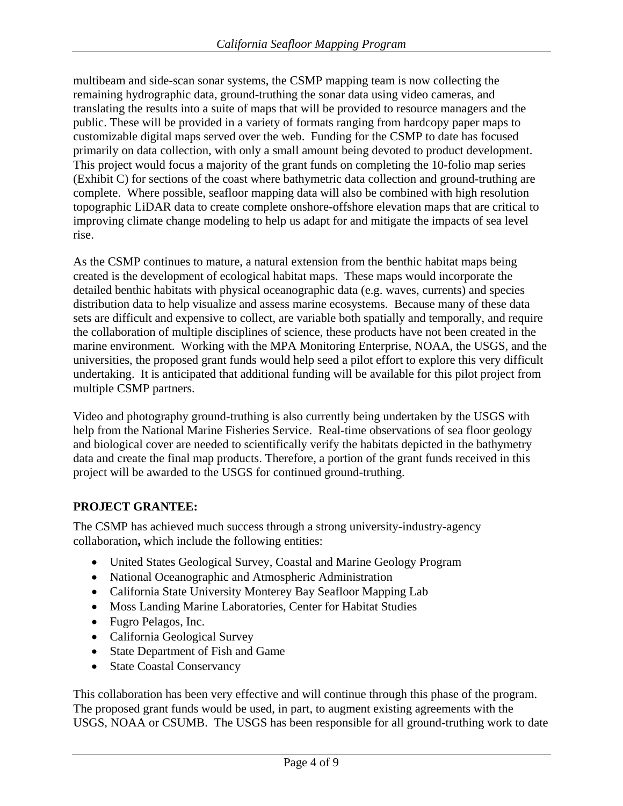multibeam and side-scan sonar systems, the CSMP mapping team is now collecting the remaining hydrographic data, ground-truthing the sonar data using video cameras, and translating the results into a suite of maps that will be provided to resource managers and the public. These will be provided in a variety of formats ranging from hardcopy paper maps to customizable digital maps served over the web. Funding for the CSMP to date has focused primarily on data collection, with only a small amount being devoted to product development. This project would focus a majority of the grant funds on completing the 10-folio map series (Exhibit C) for sections of the coast where bathymetric data collection and ground-truthing are complete. Where possible, seafloor mapping data will also be combined with high resolution topographic LiDAR data to create complete onshore-offshore elevation maps that are critical to improving climate change modeling to help us adapt for and mitigate the impacts of sea level rise.

As the CSMP continues to mature, a natural extension from the benthic habitat maps being created is the development of ecological habitat maps. These maps would incorporate the detailed benthic habitats with physical oceanographic data (e.g. waves, currents) and species distribution data to help visualize and assess marine ecosystems. Because many of these data sets are difficult and expensive to collect, are variable both spatially and temporally, and require the collaboration of multiple disciplines of science, these products have not been created in the marine environment. Working with the MPA Monitoring Enterprise, NOAA, the USGS, and the universities, the proposed grant funds would help seed a pilot effort to explore this very difficult undertaking. It is anticipated that additional funding will be available for this pilot project from multiple CSMP partners.

Video and photography ground-truthing is also currently being undertaken by the USGS with help from the National Marine Fisheries Service. Real-time observations of sea floor geology and biological cover are needed to scientifically verify the habitats depicted in the bathymetry data and create the final map products. Therefore, a portion of the grant funds received in this project will be awarded to the USGS for continued ground-truthing.

# **PROJECT GRANTEE:**

The CSMP has achieved much success through a strong university-industry-agency collaboration**,** which include the following entities:

- United States Geological Survey, Coastal and Marine Geology Program
- National Oceanographic and Atmospheric Administration
- California State University Monterey Bay Seafloor Mapping Lab
- Moss Landing Marine Laboratories, Center for Habitat Studies
- Fugro Pelagos, Inc.
- California Geological Survey
- State Department of Fish and Game
- State Coastal Conservancy

This collaboration has been very effective and will continue through this phase of the program. The proposed grant funds would be used, in part, to augment existing agreements with the USGS, NOAA or CSUMB. The USGS has been responsible for all ground-truthing work to date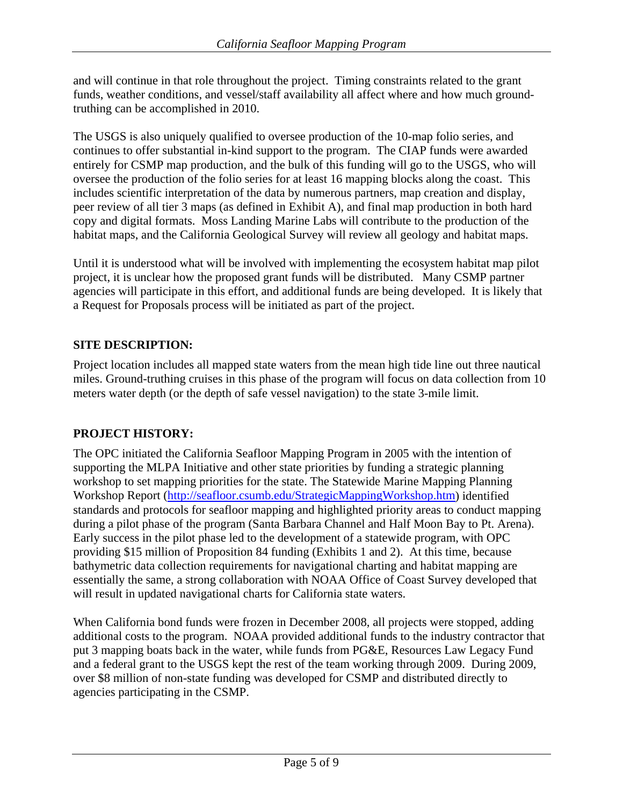and will continue in that role throughout the project. Timing constraints related to the grant funds, weather conditions, and vessel/staff availability all affect where and how much groundtruthing can be accomplished in 2010.

The USGS is also uniquely qualified to oversee production of the 10-map folio series, and continues to offer substantial in-kind support to the program. The CIAP funds were awarded entirely for CSMP map production, and the bulk of this funding will go to the USGS, who will oversee the production of the folio series for at least 16 mapping blocks along the coast. This includes scientific interpretation of the data by numerous partners, map creation and display, peer review of all tier 3 maps (as defined in Exhibit A), and final map production in both hard copy and digital formats. Moss Landing Marine Labs will contribute to the production of the habitat maps, and the California Geological Survey will review all geology and habitat maps.

Until it is understood what will be involved with implementing the ecosystem habitat map pilot project, it is unclear how the proposed grant funds will be distributed. Many CSMP partner agencies will participate in this effort, and additional funds are being developed. It is likely that a Request for Proposals process will be initiated as part of the project.

# **SITE DESCRIPTION:**

Project location includes all mapped state waters from the mean high tide line out three nautical miles. Ground-truthing cruises in this phase of the program will focus on data collection from 10 meters water depth (or the depth of safe vessel navigation) to the state 3-mile limit.

# **PROJECT HISTORY:**

The OPC initiated the California Seafloor Mapping Program in 2005 with the intention of supporting the MLPA Initiative and other state priorities by funding a strategic planning workshop to set mapping priorities for the state. The Statewide Marine Mapping Planning Workshop Report ([http://seafloor.csumb.edu/StrategicMappingWorkshop.htm\)](http://seafloor.csumb.edu/StrategicMappingWorkshop.htm) identified standards and protocols for seafloor mapping and highlighted priority areas to conduct mapping during a pilot phase of the program (Santa Barbara Channel and Half Moon Bay to Pt. Arena). Early success in the pilot phase led to the development of a statewide program, with OPC providing \$15 million of Proposition 84 funding (Exhibits 1 and 2). At this time, because bathymetric data collection requirements for navigational charting and habitat mapping are essentially the same, a strong collaboration with NOAA Office of Coast Survey developed that will result in updated navigational charts for California state waters.

When California bond funds were frozen in December 2008, all projects were stopped, adding additional costs to the program. NOAA provided additional funds to the industry contractor that put 3 mapping boats back in the water, while funds from PG&E, Resources Law Legacy Fund and a federal grant to the USGS kept the rest of the team working through 2009. During 2009, over \$8 million of non-state funding was developed for CSMP and distributed directly to agencies participating in the CSMP.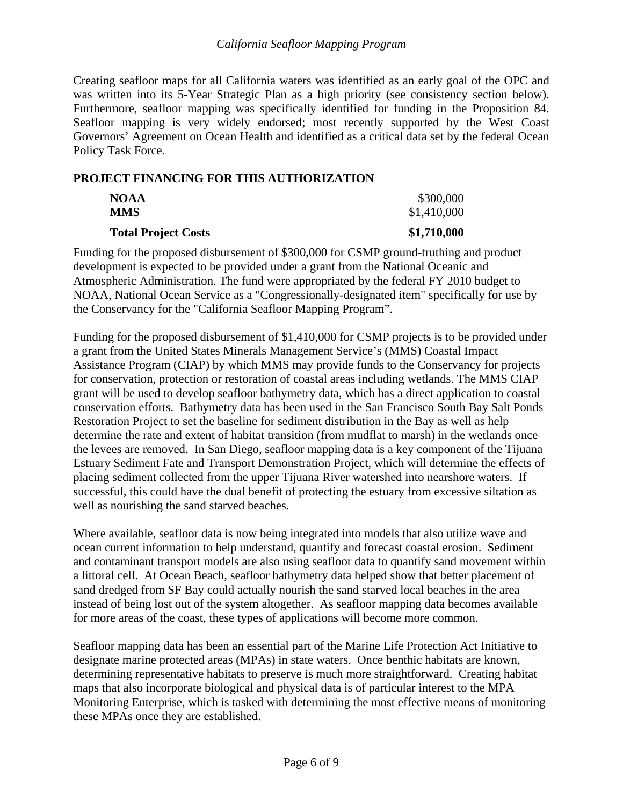Creating seafloor maps for all California waters was identified as an early goal of the OPC and was written into its 5-Year Strategic Plan as a high priority (see consistency section below). Furthermore, seafloor mapping was specifically identified for funding in the Proposition 84. Seafloor mapping is very widely endorsed; most recently supported by the [West Coast](http://westcoastoceans.gov/docs/WCOceanAgreementp6.pdf)  [Governors' Agreement on Ocean Health](http://westcoastoceans.gov/docs/WCOceanAgreementp6.pdf) and identified as a critical data set by the federal Ocean Policy Task Force.

### **PROJECT FINANCING FOR THIS AUTHORIZATION**

| <b>MMS</b>                 | \$1,410,000 |
|----------------------------|-------------|
| <b>Total Project Costs</b> | \$1,710,000 |

Funding for the proposed disbursement of \$300,000 for CSMP ground-truthing and product development is expected to be provided under a grant from the National Oceanic and Atmospheric Administration. The fund were appropriated by the federal FY 2010 budget to NOAA, National Ocean Service as a "Congressionally-designated item" specifically for use by the Conservancy for the "California Seafloor Mapping Program".

Funding for the proposed disbursement of \$1,410,000 for CSMP projects is to be provided under a grant from the United States Minerals Management Service's (MMS) Coastal Impact Assistance Program (CIAP) by which MMS may provide funds to the Conservancy for projects for conservation, protection or restoration of coastal areas including wetlands. The MMS CIAP grant will be used to develop seafloor bathymetry data, which has a direct application to coastal conservation efforts. Bathymetry data has been used in the San Francisco South Bay Salt Ponds Restoration Project to set the baseline for sediment distribution in the Bay as well as help determine the rate and extent of habitat transition (from mudflat to marsh) in the wetlands once the levees are removed. In San Diego, seafloor mapping data is a key component of the Tijuana Estuary Sediment Fate and Transport Demonstration Project, which will determine the effects of placing sediment collected from the upper Tijuana River watershed into nearshore waters. If successful, this could have the dual benefit of protecting the estuary from excessive siltation as well as nourishing the sand starved beaches.

Where available, seafloor data is now being integrated into models that also utilize wave and ocean current information to help understand, quantify and forecast coastal erosion. Sediment and contaminant transport models are also using seafloor data to quantify sand movement within a littoral cell. At Ocean Beach, seafloor bathymetry data helped show that better placement of sand dredged from SF Bay could actually nourish the sand starved local beaches in the area instead of being lost out of the system altogether. As seafloor mapping data becomes available for more areas of the coast, these types of applications will become more common.

Seafloor mapping data has been an essential part of the Marine Life Protection Act Initiative to designate marine protected areas (MPAs) in state waters. Once benthic habitats are known, determining representative habitats to preserve is much more straightforward. Creating habitat maps that also incorporate biological and physical data is of particular interest to the MPA Monitoring Enterprise, which is tasked with determining the most effective means of monitoring these MPAs once they are established.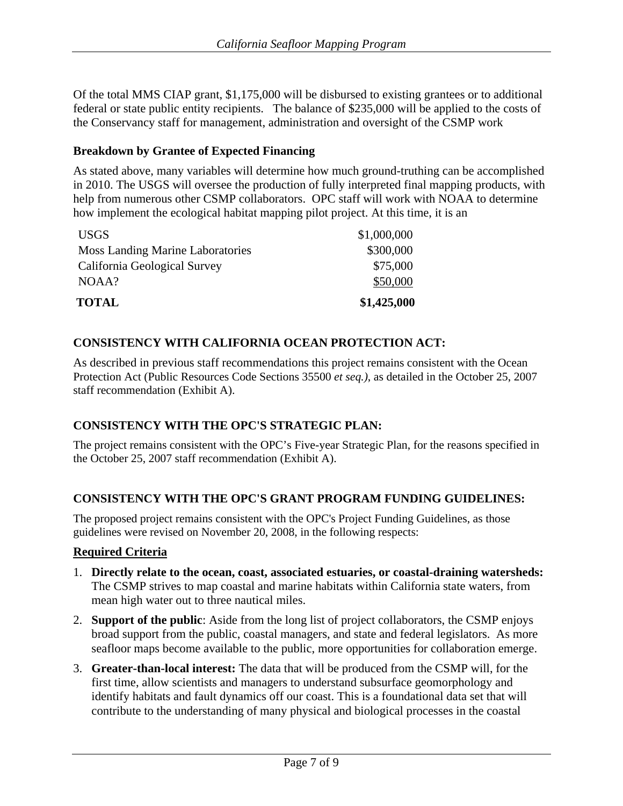Of the total MMS CIAP grant, \$1,175,000 will be disbursed to existing grantees or to additional federal or state public entity recipients. The balance of \$235,000 will be applied to the costs of the Conservancy staff for management, administration and oversight of the CSMP work

### **Breakdown by Grantee of Expected Financing**

As stated above, many variables will determine how much ground-truthing can be accomplished in 2010. The USGS will oversee the production of fully interpreted final mapping products, with help from numerous other CSMP collaborators. OPC staff will work with NOAA to determine how implement the ecological habitat mapping pilot project. At this time, it is an

| USGS                                    | \$1,000,000 |
|-----------------------------------------|-------------|
| <b>Moss Landing Marine Laboratories</b> | \$300,000   |
| California Geological Survey            | \$75,000    |
| NOAA?                                   | \$50,000    |
| <b>TOTAL</b>                            | \$1,425,000 |

### **CONSISTENCY WITH CALIFORNIA OCEAN PROTECTION ACT:**

As described in previous staff recommendations this project remains consistent with the Ocean Protection Act (Public Resources Code Sections 35500 *et seq.)*, as detailed in the October 25, 2007 staff recommendation (Exhibit A).

### **CONSISTENCY WITH THE OPC'S STRATEGIC PLAN:**

The project remains consistent with the OPC's Five-year Strategic Plan, for the reasons specified in the October 25, 2007 staff recommendation (Exhibit A).

# **CONSISTENCY WITH THE OPC'S GRANT PROGRAM FUNDING GUIDELINES:**

The proposed project remains consistent with the OPC's Project Funding Guidelines, as those guidelines were revised on November 20, 2008, in the following respects:

### **Required Criteria**

- 1. **Directly relate to the ocean, coast, associated estuaries, or coastal-draining watersheds:**  The CSMP strives to map coastal and marine habitats within California state waters, from mean high water out to three nautical miles.
- 2. **Support of the public**: Aside from the long list of project collaborators, the CSMP enjoys broad support from the public, coastal managers, and state and federal legislators. As more seafloor maps become available to the public, more opportunities for collaboration emerge.
- 3. **Greater-than-local interest:** The data that will be produced from the CSMP will, for the first time, allow scientists and managers to understand subsurface geomorphology and identify habitats and fault dynamics off our coast. This is a foundational data set that will contribute to the understanding of many physical and biological processes in the coastal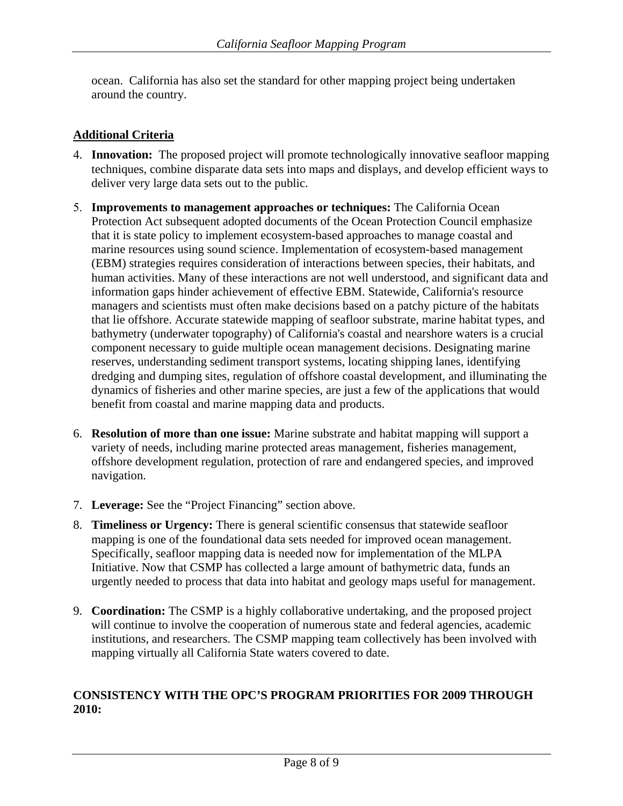ocean. California has also set the standard for other mapping project being undertaken around the country.

## **Additional Criteria**

- 4. **Innovation:** The proposed project will promote technologically innovative seafloor mapping techniques, combine disparate data sets into maps and displays, and develop efficient ways to deliver very large data sets out to the public.
- 5. **Improvements to management approaches or techniques:** The California Ocean Protection Act subsequent adopted documents of the Ocean Protection Council emphasize that it is state policy to implement ecosystem-based approaches to manage coastal and marine resources using sound science. Implementation of ecosystem-based management (EBM) strategies requires consideration of interactions between species, their habitats, and human activities. Many of these interactions are not well understood, and significant data and information gaps hinder achievement of effective EBM. Statewide, California's resource managers and scientists must often make decisions based on a patchy picture of the habitats that lie offshore. Accurate statewide mapping of seafloor substrate, marine habitat types, and bathymetry (underwater topography) of California's coastal and nearshore waters is a crucial component necessary to guide multiple ocean management decisions. Designating marine reserves, understanding sediment transport systems, locating shipping lanes, identifying dredging and dumping sites, regulation of offshore coastal development, and illuminating the dynamics of fisheries and other marine species, are just a few of the applications that would benefit from coastal and marine mapping data and products.
- 6. **Resolution of more than one issue:** Marine substrate and habitat mapping will support a variety of needs, including marine protected areas management, fisheries management, offshore development regulation, protection of rare and endangered species, and improved navigation.
- 7. **Leverage:** See the "Project Financing" section above.
- 8. **Timeliness or Urgency:** There is general scientific consensus that statewide seafloor mapping is one of the foundational data sets needed for improved ocean management. Specifically, seafloor mapping data is needed now for implementation of the MLPA Initiative. Now that CSMP has collected a large amount of bathymetric data, funds an urgently needed to process that data into habitat and geology maps useful for management.
- 9. **Coordination:** The CSMP is a highly collaborative undertaking, and the proposed project will continue to involve the cooperation of numerous state and federal agencies, academic institutions, and researchers. The CSMP mapping team collectively has been involved with mapping virtually all California State waters covered to date.

# **CONSISTENCY WITH THE OPC'S PROGRAM PRIORITIES FOR 2009 THROUGH 2010:**